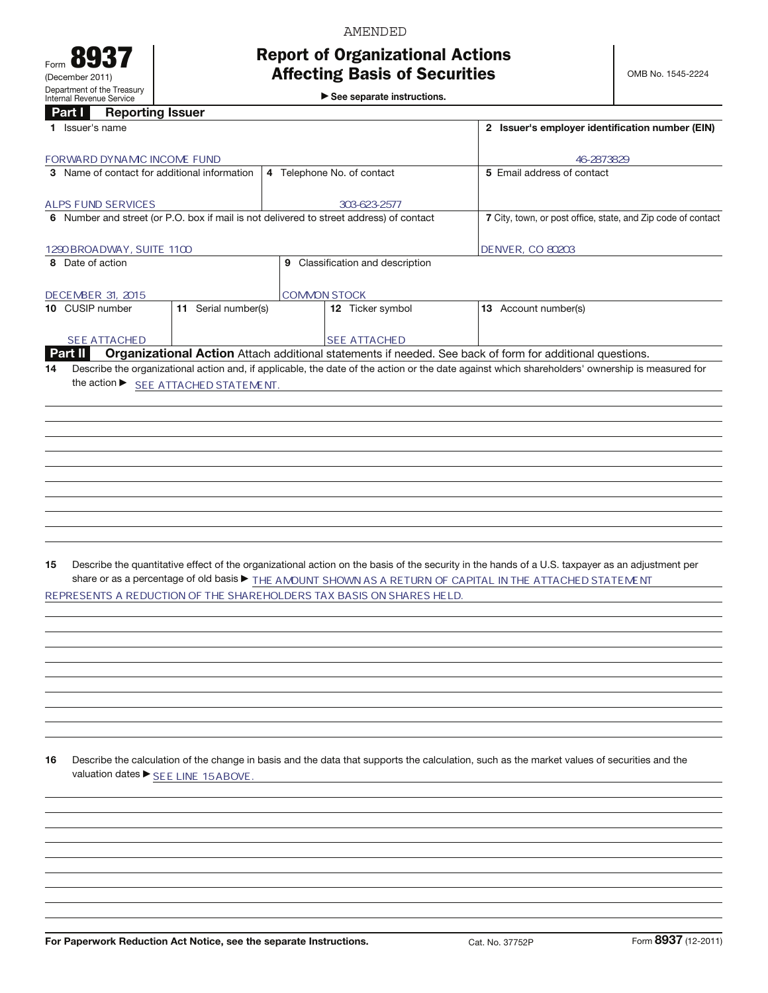# AMENDED

## Report of Organizational Actions Affecting Basis of Securities

 $\blacktriangleright$  See separate instructions.

## Part **I** Reporting Issuer

| Part I<br><b>Reporting Issuer</b>                                                       |                                                                                                           |                                                                                                                                                 |
|-----------------------------------------------------------------------------------------|-----------------------------------------------------------------------------------------------------------|-------------------------------------------------------------------------------------------------------------------------------------------------|
| 1 Issuer's name                                                                         |                                                                                                           | 2 Issuer's employer identification number (EIN)                                                                                                 |
| FORWARD DYNAMC INCOME FUND                                                              |                                                                                                           | 46-2873829                                                                                                                                      |
| 3 Name of contact for additional information                                            | 4 Telephone No. of contact                                                                                | 5 Email address of contact                                                                                                                      |
|                                                                                         |                                                                                                           |                                                                                                                                                 |
| <b>ALPS FUND SERVICES</b>                                                               | 303-623-2577                                                                                              |                                                                                                                                                 |
| 6 Number and street (or P.O. box if mail is not delivered to street address) of contact |                                                                                                           | 7 City, town, or post office, state, and Zip code of contact                                                                                    |
|                                                                                         |                                                                                                           |                                                                                                                                                 |
| 1290 BROADWAY, SUITE 1100<br>8 Date of action                                           | 9 Classification and description                                                                          | <b>DENVER, CO 80203</b>                                                                                                                         |
|                                                                                         |                                                                                                           |                                                                                                                                                 |
| DECEMBER 31, 2015                                                                       | <b>COMMON STOCK</b>                                                                                       |                                                                                                                                                 |
| 11 Serial number(s)<br>10 CUSIP number                                                  | 12 Ticker symbol                                                                                          | 13 Account number(s)                                                                                                                            |
|                                                                                         |                                                                                                           |                                                                                                                                                 |
| <b>SEE ATTACHED</b>                                                                     | <b>SEE ATTACHED</b>                                                                                       |                                                                                                                                                 |
| Part II                                                                                 | Organizational Action Attach additional statements if needed. See back of form for additional questions.  |                                                                                                                                                 |
| 14                                                                                      |                                                                                                           | Describe the organizational action and, if applicable, the date of the action or the date against which shareholders' ownership is measured for |
| the action ▶ SEE ATTACHED STATEMENT.                                                    |                                                                                                           |                                                                                                                                                 |
|                                                                                         |                                                                                                           |                                                                                                                                                 |
|                                                                                         |                                                                                                           |                                                                                                                                                 |
|                                                                                         |                                                                                                           |                                                                                                                                                 |
|                                                                                         |                                                                                                           |                                                                                                                                                 |
|                                                                                         |                                                                                                           |                                                                                                                                                 |
|                                                                                         |                                                                                                           |                                                                                                                                                 |
|                                                                                         |                                                                                                           |                                                                                                                                                 |
|                                                                                         |                                                                                                           |                                                                                                                                                 |
|                                                                                         |                                                                                                           |                                                                                                                                                 |
|                                                                                         |                                                                                                           |                                                                                                                                                 |
|                                                                                         |                                                                                                           |                                                                                                                                                 |
| 15                                                                                      |                                                                                                           | Describe the quantitative effect of the organizational action on the basis of the security in the hands of a U.S. taxpayer as an adjustment per |
|                                                                                         | share or as a percentage of old basis > THE AMOUNT SHOWN AS A RETURN OF CAPITAL IN THE ATTACHED STATEMENT |                                                                                                                                                 |
| REPRESENTS A REDUCTION OF THE SHAREHOLDERS TAX BASIS ON SHARES HELD.                    |                                                                                                           |                                                                                                                                                 |
|                                                                                         |                                                                                                           |                                                                                                                                                 |
|                                                                                         |                                                                                                           |                                                                                                                                                 |
|                                                                                         |                                                                                                           |                                                                                                                                                 |
|                                                                                         |                                                                                                           |                                                                                                                                                 |
|                                                                                         |                                                                                                           |                                                                                                                                                 |
|                                                                                         |                                                                                                           |                                                                                                                                                 |
|                                                                                         |                                                                                                           |                                                                                                                                                 |
|                                                                                         |                                                                                                           |                                                                                                                                                 |
|                                                                                         |                                                                                                           |                                                                                                                                                 |
|                                                                                         |                                                                                                           |                                                                                                                                                 |
| 16                                                                                      |                                                                                                           | Describe the calculation of the change in basis and the data that supports the calculation, such as the market values of securities and the     |
| valuation dates ▶ SEE LINE 15ABOVE.                                                     |                                                                                                           |                                                                                                                                                 |
|                                                                                         |                                                                                                           |                                                                                                                                                 |
|                                                                                         |                                                                                                           |                                                                                                                                                 |
|                                                                                         |                                                                                                           |                                                                                                                                                 |
|                                                                                         |                                                                                                           |                                                                                                                                                 |
|                                                                                         |                                                                                                           |                                                                                                                                                 |
|                                                                                         |                                                                                                           |                                                                                                                                                 |
|                                                                                         |                                                                                                           |                                                                                                                                                 |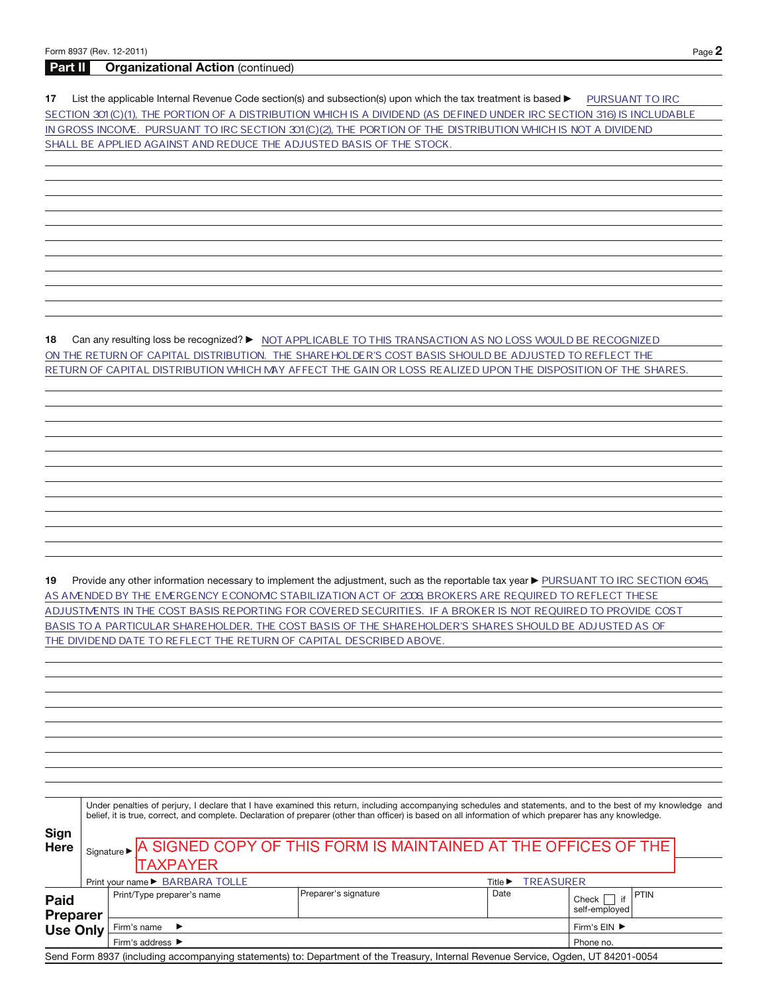## Part II Organizational Action (continued)

17 List the applicable Internal Revenue Code section(s) and subsection(s) upon which the tax treatment is based **DEP TO ANT TO IRC** SECTION 301(C)(1), THE PORTION OF A DISTRIBUTION WHICH IS A DIVIDEND (AS DEFINED UNDER IRC SECTION 316) IS INCLUDABLE IN GROSS INCOME. PURSUANT TO IRC SECTION 301 (C)(2), THE PORTION OF THE DISTRIBUTION WHICH IS NOT A DIVIDEND SHALL BE APPLIED AGAINST AND REDUCE THE ADJUSTED BASIS OF THE STOCK.

**18** Can any resulting loss be recognized? ▶ MOT APPLICABLE TO THIS TRANSACTION AS NO LOSS WOULD BE RECOGNIZED ON THE RETURN OF CAPITAL DISTRIBUTION. THE SHAREHOLDER'S COST BASIS SHOULD BE ADJUSTED TO REFLECT THE RETURN OF CAPITAL DISTRIBUTION WHICH MAY AFFECT THE GAIN OR LOSS REALIZED UPON THE DISPOSITION OF THE SHARES.

19 Provide any other information necessary to implement the adjustment, such as the reportable tax year ▶ PURSUANT TO IRC SECTION 6045 AS AMENDED BY THE EMERGENCY ECONOMIC STABILIZATION ACT OF 2008 BROKERS ARE REQUIRED TO REFLECT THESE ADJUSTMENTS IN THE COST BASIS REPORTING FOR COVERED SECURITIES. IF A BROKER IS NOT REQUIRED TO PROVIDE COST BASIS TO A PARTICULAR SHAREHOLDER, THE COST BASIS OF THE SHAREHOLDER'S SHARES SHOULD BE ADJUSTED AS OF THE DIVIDEND DATE TO REFLECT THE RETURN OF CAPITAL DESCRIBED ABOVE.

|                                            |  |                                      | Under penalties of perjury, I declare that I have examined this return, including accompanying schedules and statements, and to the best of my knowledge and<br>belief, it is true, correct, and complete. Declaration of preparer (other than officer) is based on all information of which preparer has any knowledge. |                  |                                       |  |  |  |
|--------------------------------------------|--|--------------------------------------|--------------------------------------------------------------------------------------------------------------------------------------------------------------------------------------------------------------------------------------------------------------------------------------------------------------------------|------------------|---------------------------------------|--|--|--|
| Sign<br><b>Here</b>                        |  | <b>TAXPAYER</b>                      | Signature > A SIGNED COPY OF THIS FORM IS MAINTAINED AT THE OFFICES OF THE                                                                                                                                                                                                                                               |                  |                                       |  |  |  |
|                                            |  | Print your name ▶ BARBARA TOLLE      | Title $\blacktriangleright$                                                                                                                                                                                                                                                                                              | <b>TREASURER</b> |                                       |  |  |  |
| Paid<br><b>Preparer</b><br><b>Use Only</b> |  | Print/Type preparer's name           | Preparer's signature                                                                                                                                                                                                                                                                                                     | Date             | <b>PTIN</b><br>Check<br>self-employed |  |  |  |
|                                            |  | Firm's name<br>$\rightarrow$         |                                                                                                                                                                                                                                                                                                                          |                  |                                       |  |  |  |
|                                            |  | Firm's address $\blacktriangleright$ |                                                                                                                                                                                                                                                                                                                          | Phone no.        |                                       |  |  |  |
|                                            |  |                                      | Send Form 8937 (including accompanying statements) to: Department of the Treasury, Internal Revenue Service, Ogden, UT 84201-0054                                                                                                                                                                                        |                  |                                       |  |  |  |